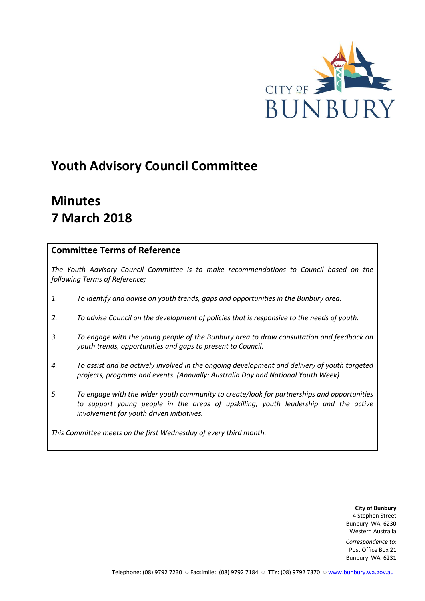

# **Youth Advisory Council Committee**

# **Minutes 7 March 2018**

# **Committee Terms of Reference**

*The Youth Advisory Council Committee is to make recommendations to Council based on the following Terms of Reference;*

- *1. To identify and advise on youth trends, gaps and opportunities in the Bunbury area.*
- *2. To advise Council on the development of policies that is responsive to the needs of youth.*
- *3. To engage with the young people of the Bunbury area to draw consultation and feedback on youth trends, opportunities and gaps to present to Council.*
- *4. To assist and be actively involved in the ongoing development and delivery of youth targeted projects, programs and events. (Annually: Australia Day and National Youth Week)*
- *5. To engage with the wider youth community to create/look for partnerships and opportunities*  to support young people in the areas of upskilling, youth leadership and the active *involvement for youth driven initiatives.*

*This Committee meets on the first Wednesday of every third month.*

**City of Bunbury** 4 Stephen Street Bunbury WA 6230 Western Australia

*Correspondence to:* Post Office Box 21 Bunbury WA 6231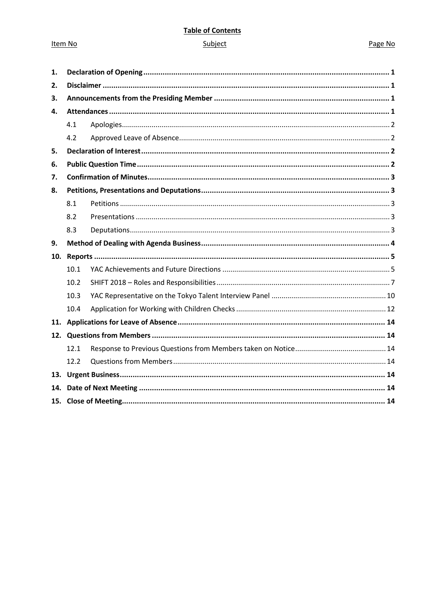## **Table of Contents**

## Subject

| 1.  |      |  |  |  |  |
|-----|------|--|--|--|--|
| 2.  |      |  |  |  |  |
| 3.  |      |  |  |  |  |
| 4.  |      |  |  |  |  |
|     | 4.1  |  |  |  |  |
|     | 4.2  |  |  |  |  |
| 5.  |      |  |  |  |  |
| 6.  |      |  |  |  |  |
| 7.  |      |  |  |  |  |
| 8.  |      |  |  |  |  |
|     | 8.1  |  |  |  |  |
|     | 8.2  |  |  |  |  |
|     | 8.3  |  |  |  |  |
| 9.  |      |  |  |  |  |
| 10. |      |  |  |  |  |
|     | 10.1 |  |  |  |  |
|     | 10.2 |  |  |  |  |
|     | 10.3 |  |  |  |  |
|     | 10.4 |  |  |  |  |
|     |      |  |  |  |  |
|     |      |  |  |  |  |
|     | 12.1 |  |  |  |  |
|     | 12.2 |  |  |  |  |
|     |      |  |  |  |  |
|     |      |  |  |  |  |
|     |      |  |  |  |  |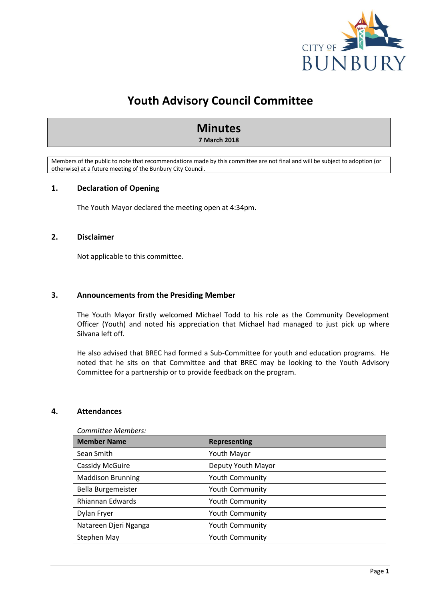

# **Youth Advisory Council Committee**

# **Minutes**

## **7 March 2018**

Members of the public to note that recommendations made by this committee are not final and will be subject to adoption (or otherwise) at a future meeting of the Bunbury City Council.

## <span id="page-2-0"></span>**1. Declaration of Opening**

The Youth Mayor declared the meeting open at 4:34pm.

## <span id="page-2-1"></span>**2. Disclaimer**

Not applicable to this committee.

## <span id="page-2-2"></span>**3. Announcements from the Presiding Member**

The Youth Mayor firstly welcomed Michael Todd to his role as the Community Development Officer (Youth) and noted his appreciation that Michael had managed to just pick up where Silvana left off.

He also advised that BREC had formed a Sub-Committee for youth and education programs. He noted that he sits on that Committee and that BREC may be looking to the Youth Advisory Committee for a partnership or to provide feedback on the program.

## <span id="page-2-3"></span>**4. Attendances**

| <b>Member Name</b>       | Representing           |
|--------------------------|------------------------|
| Sean Smith               | <b>Youth Mayor</b>     |
| Cassidy McGuire          | Deputy Youth Mayor     |
| <b>Maddison Brunning</b> | <b>Youth Community</b> |
| Bella Burgemeister       | <b>Youth Community</b> |
| Rhiannan Edwards         | <b>Youth Community</b> |
| Dylan Fryer              | <b>Youth Community</b> |
| Natareen Djeri Nganga    | <b>Youth Community</b> |
| Stephen May              | <b>Youth Community</b> |

#### *Committee Members:*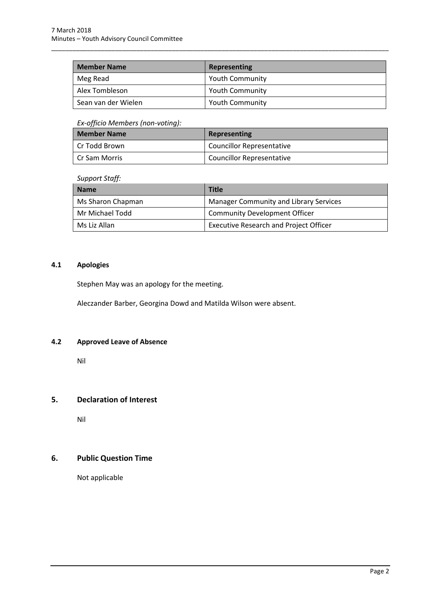| <b>Member Name</b>  | <b>Representing</b>    |
|---------------------|------------------------|
| Meg Read            | <b>Youth Community</b> |
| Alex Tombleson      | <b>Youth Community</b> |
| Sean van der Wielen | <b>Youth Community</b> |

\_\_\_\_\_\_\_\_\_\_\_\_\_\_\_\_\_\_\_\_\_\_\_\_\_\_\_\_\_\_\_\_\_\_\_\_\_\_\_\_\_\_\_\_\_\_\_\_\_\_\_\_\_\_\_\_\_\_\_\_\_\_\_\_\_\_\_\_\_\_\_\_\_\_\_\_\_\_\_\_\_\_\_\_\_\_\_\_\_\_\_\_\_\_\_

## *Ex-officio Members (non-voting):*

| <b>Member Name</b> | Representing                     |
|--------------------|----------------------------------|
| l Cr Todd Brown    | Councillor Representative        |
| l Cr Sam Morris    | <b>Councillor Representative</b> |

## *Support Staff:*

| <b>Name</b>       | <b>Title</b>                                  |
|-------------------|-----------------------------------------------|
| Ms Sharon Chapman | <b>Manager Community and Library Services</b> |
| Mr Michael Todd   | <b>Community Development Officer</b>          |
| Ms Liz Allan      | <b>Executive Research and Project Officer</b> |

## <span id="page-3-0"></span>**4.1 Apologies**

Stephen May was an apology for the meeting.

Aleczander Barber, Georgina Dowd and Matilda Wilson were absent.

## <span id="page-3-1"></span>**4.2 Approved Leave of Absence**

Nil

## <span id="page-3-2"></span>**5. Declaration of Interest**

Nil

# <span id="page-3-3"></span>**6. Public Question Time**

Not applicable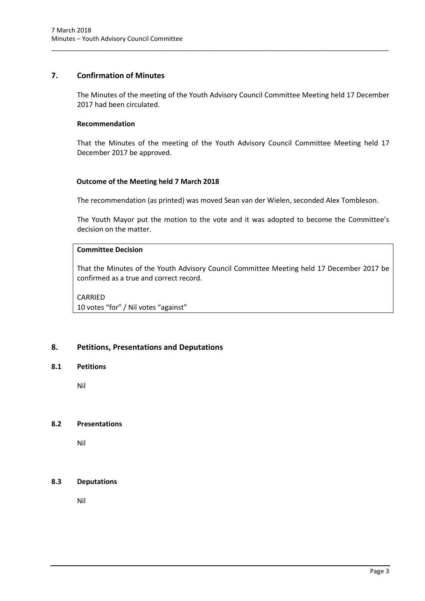## <span id="page-4-0"></span>**7. Confirmation of Minutes**

The Minutes of the meeting of the Youth Advisory Council Committee Meeting held 17 December 2017 had been circulated.

\_\_\_\_\_\_\_\_\_\_\_\_\_\_\_\_\_\_\_\_\_\_\_\_\_\_\_\_\_\_\_\_\_\_\_\_\_\_\_\_\_\_\_\_\_\_\_\_\_\_\_\_\_\_\_\_\_\_\_\_\_\_\_\_\_\_\_\_\_\_\_\_\_\_\_\_\_\_\_\_\_\_\_\_\_\_\_\_\_\_\_\_\_\_\_

## **Recommendation**

That the Minutes of the meeting of the Youth Advisory Council Committee Meeting held 17 December 2017 be approved.

## **Outcome of the Meeting held 7 March 2018**

The recommendation (as printed) was moved Sean van der Wielen, seconded Alex Tombleson.

The Youth Mayor put the motion to the vote and it was adopted to become the Committee's decision on the matter.

## **Committee Decision**

That the Minutes of the Youth Advisory Council Committee Meeting held 17 December 2017 be confirmed as a true and correct record.

CARRIED 10 votes "for" / Nil votes "against"

## <span id="page-4-1"></span>**8. Petitions, Presentations and Deputations**

## <span id="page-4-2"></span>**8.1 Petitions**

Nil

## <span id="page-4-3"></span>**8.2 Presentations**

Nil

## <span id="page-4-4"></span>**8.3 Deputations**

Nil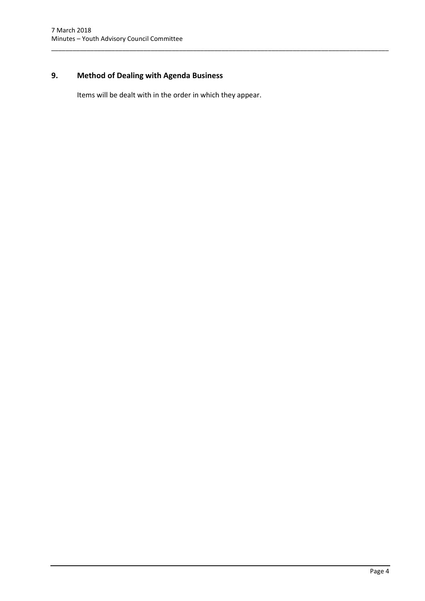# <span id="page-5-0"></span>**9. Method of Dealing with Agenda Business**

Items will be dealt with in the order in which they appear.

\_\_\_\_\_\_\_\_\_\_\_\_\_\_\_\_\_\_\_\_\_\_\_\_\_\_\_\_\_\_\_\_\_\_\_\_\_\_\_\_\_\_\_\_\_\_\_\_\_\_\_\_\_\_\_\_\_\_\_\_\_\_\_\_\_\_\_\_\_\_\_\_\_\_\_\_\_\_\_\_\_\_\_\_\_\_\_\_\_\_\_\_\_\_\_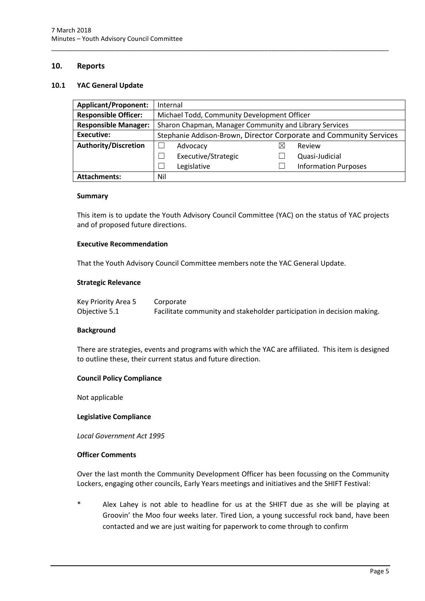## <span id="page-6-0"></span>**10. Reports**

### <span id="page-6-1"></span>**10.1 YAC General Update**

| <b>Applicant/Proponent:</b> | Internal                                                           |                     |          |                             |
|-----------------------------|--------------------------------------------------------------------|---------------------|----------|-----------------------------|
| <b>Responsible Officer:</b> | Michael Todd, Community Development Officer                        |                     |          |                             |
| <b>Responsible Manager:</b> | Sharon Chapman, Manager Community and Library Services             |                     |          |                             |
| <b>Executive:</b>           | Stephanie Addison-Brown, Director Corporate and Community Services |                     |          |                             |
| Authority/Discretion        |                                                                    | Advocacy            | $\times$ | Review                      |
|                             |                                                                    | Executive/Strategic |          | Quasi-Judicial              |
|                             |                                                                    | Legislative         |          | <b>Information Purposes</b> |
| <b>Attachments:</b>         | Nil                                                                |                     |          |                             |

\_\_\_\_\_\_\_\_\_\_\_\_\_\_\_\_\_\_\_\_\_\_\_\_\_\_\_\_\_\_\_\_\_\_\_\_\_\_\_\_\_\_\_\_\_\_\_\_\_\_\_\_\_\_\_\_\_\_\_\_\_\_\_\_\_\_\_\_\_\_\_\_\_\_\_\_\_\_\_\_\_\_\_\_\_\_\_\_\_\_\_\_\_\_\_

#### **Summary**

This item is to update the Youth Advisory Council Committee (YAC) on the status of YAC projects and of proposed future directions.

#### **Executive Recommendation**

That the Youth Advisory Council Committee members note the YAC General Update.

#### **Strategic Relevance**

| Key Priority Area 5 | Corporate                                                              |
|---------------------|------------------------------------------------------------------------|
| Objective 5.1       | Facilitate community and stakeholder participation in decision making. |

#### **Background**

There are strategies, events and programs with which the YAC are affiliated. This item is designed to outline these, their current status and future direction.

## **Council Policy Compliance**

Not applicable

## **Legislative Compliance**

*Local Government Act 1995*

#### **Officer Comments**

Over the last month the Community Development Officer has been focussing on the Community Lockers, engaging other councils, Early Years meetings and initiatives and the SHIFT Festival:

Alex Lahey is not able to headline for us at the SHIFT due as she will be playing at Groovin' the Moo four weeks later. Tired Lion, a young successful rock band, have been contacted and we are just waiting for paperwork to come through to confirm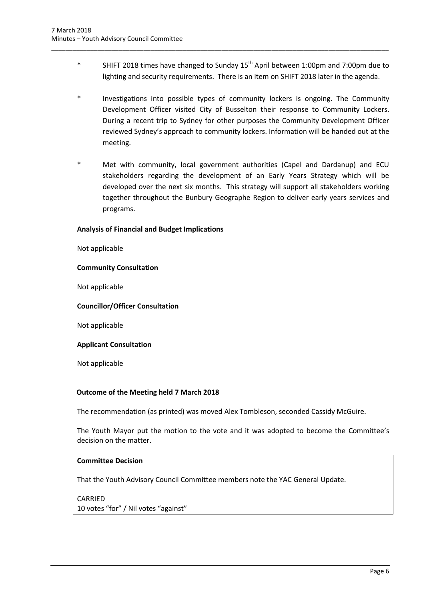SHIFT 2018 times have changed to Sunday  $15<sup>th</sup>$  April between 1:00pm and 7:00pm due to lighting and security requirements. There is an item on SHIFT 2018 later in the agenda.

\_\_\_\_\_\_\_\_\_\_\_\_\_\_\_\_\_\_\_\_\_\_\_\_\_\_\_\_\_\_\_\_\_\_\_\_\_\_\_\_\_\_\_\_\_\_\_\_\_\_\_\_\_\_\_\_\_\_\_\_\_\_\_\_\_\_\_\_\_\_\_\_\_\_\_\_\_\_\_\_\_\_\_\_\_\_\_\_\_\_\_\_\_\_\_

- Investigations into possible types of community lockers is ongoing. The Community Development Officer visited City of Busselton their response to Community Lockers. During a recent trip to Sydney for other purposes the Community Development Officer reviewed Sydney's approach to community lockers. Information will be handed out at the meeting.
- Met with community, local government authorities (Capel and Dardanup) and ECU stakeholders regarding the development of an Early Years Strategy which will be developed over the next six months. This strategy will support all stakeholders working together throughout the Bunbury Geographe Region to deliver early years services and programs.

## **Analysis of Financial and Budget Implications**

Not applicable

#### **Community Consultation**

Not applicable

## **Councillor/Officer Consultation**

Not applicable

## **Applicant Consultation**

Not applicable

## **Outcome of the Meeting held 7 March 2018**

The recommendation (as printed) was moved Alex Tombleson, seconded Cassidy McGuire.

The Youth Mayor put the motion to the vote and it was adopted to become the Committee's decision on the matter.

## **Committee Decision**

That the Youth Advisory Council Committee members note the YAC General Update.

CARRIED 10 votes "for" / Nil votes "against"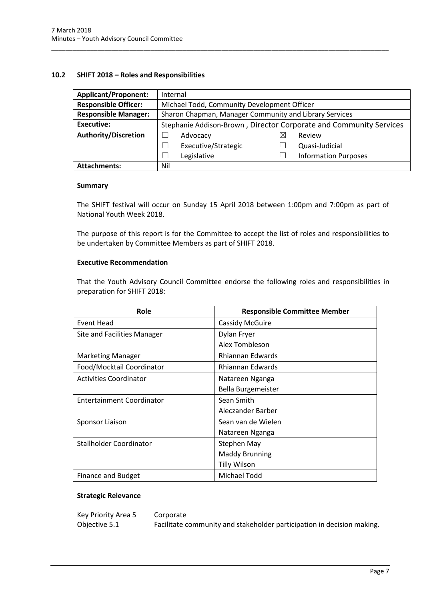## <span id="page-8-0"></span>**10.2 SHIFT 2018 – Roles and Responsibilities**

| <b>Applicant/Proponent:</b> | Internal                                                           |  |  |  |
|-----------------------------|--------------------------------------------------------------------|--|--|--|
| <b>Responsible Officer:</b> | Michael Todd, Community Development Officer                        |  |  |  |
| <b>Responsible Manager:</b> | Sharon Chapman, Manager Community and Library Services             |  |  |  |
| Executive:                  | Stephanie Addison-Brown, Director Corporate and Community Services |  |  |  |
| <b>Authority/Discretion</b> | Review<br>Advocacy<br>$\times$                                     |  |  |  |
|                             | Executive/Strategic<br>Quasi-Judicial                              |  |  |  |
|                             | Legislative<br><b>Information Purposes</b>                         |  |  |  |
| <b>Attachments:</b>         | Nil                                                                |  |  |  |

\_\_\_\_\_\_\_\_\_\_\_\_\_\_\_\_\_\_\_\_\_\_\_\_\_\_\_\_\_\_\_\_\_\_\_\_\_\_\_\_\_\_\_\_\_\_\_\_\_\_\_\_\_\_\_\_\_\_\_\_\_\_\_\_\_\_\_\_\_\_\_\_\_\_\_\_\_\_\_\_\_\_\_\_\_\_\_\_\_\_\_\_\_\_\_

#### **Summary**

The SHIFT festival will occur on Sunday 15 April 2018 between 1:00pm and 7:00pm as part of National Youth Week 2018.

The purpose of this report is for the Committee to accept the list of roles and responsibilities to be undertaken by Committee Members as part of SHIFT 2018.

## **Executive Recommendation**

That the Youth Advisory Council Committee endorse the following roles and responsibilities in preparation for SHIFT 2018:

| Role                               | <b>Responsible Committee Member</b> |  |
|------------------------------------|-------------------------------------|--|
| Event Head                         | <b>Cassidy McGuire</b>              |  |
| <b>Site and Facilities Manager</b> | Dylan Fryer                         |  |
|                                    | Alex Tombleson                      |  |
| <b>Marketing Manager</b>           | Rhiannan Edwards                    |  |
| Food/Mocktail Coordinator          | Rhiannan Edwards                    |  |
| <b>Activities Coordinator</b>      | Natareen Nganga                     |  |
|                                    | Bella Burgemeister                  |  |
| <b>Entertainment Coordinator</b>   | Sean Smith                          |  |
|                                    | Aleczander Barber                   |  |
| Sponsor Liaison                    | Sean van de Wielen                  |  |
|                                    | Natareen Nganga                     |  |
| Stallholder Coordinator            | Stephen May                         |  |
|                                    | <b>Maddy Brunning</b>               |  |
|                                    | <b>Tilly Wilson</b>                 |  |
| <b>Finance and Budget</b>          | Michael Todd                        |  |

## **Strategic Relevance**

| Key Priority Area 5 | Corporate                                                              |
|---------------------|------------------------------------------------------------------------|
| Objective 5.1       | Facilitate community and stakeholder participation in decision making. |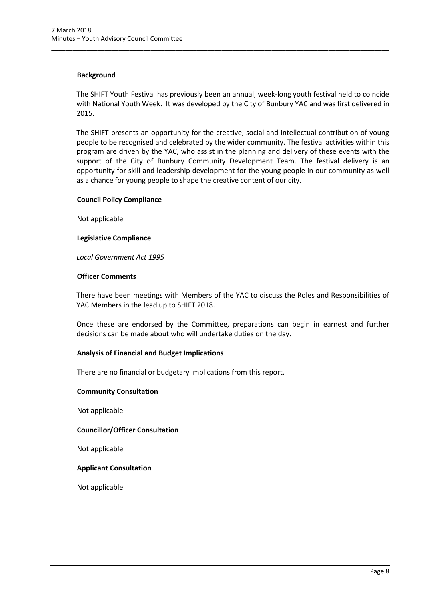## **Background**

The SHIFT Youth Festival has previously been an annual, week-long youth festival held to coincide with National Youth Week. It was developed by the City of Bunbury YAC and was first delivered in 2015.

\_\_\_\_\_\_\_\_\_\_\_\_\_\_\_\_\_\_\_\_\_\_\_\_\_\_\_\_\_\_\_\_\_\_\_\_\_\_\_\_\_\_\_\_\_\_\_\_\_\_\_\_\_\_\_\_\_\_\_\_\_\_\_\_\_\_\_\_\_\_\_\_\_\_\_\_\_\_\_\_\_\_\_\_\_\_\_\_\_\_\_\_\_\_\_

The SHIFT presents an opportunity for the creative, social and intellectual contribution of young people to be recognised and celebrated by the wider community. The festival activities within this program are driven by the YAC, who assist in the planning and delivery of these events with the support of the City of Bunbury Community Development Team. The festival delivery is an opportunity for skill and leadership development for the young people in our community as well as a chance for young people to shape the creative content of our city.

#### **Council Policy Compliance**

Not applicable

#### **Legislative Compliance**

*Local Government Act 1995* 

#### **Officer Comments**

There have been meetings with Members of the YAC to discuss the Roles and Responsibilities of YAC Members in the lead up to SHIFT 2018.

Once these are endorsed by the Committee, preparations can begin in earnest and further decisions can be made about who will undertake duties on the day.

## **Analysis of Financial and Budget Implications**

There are no financial or budgetary implications from this report.

#### **Community Consultation**

Not applicable

## **Councillor/Officer Consultation**

Not applicable

#### **Applicant Consultation**

Not applicable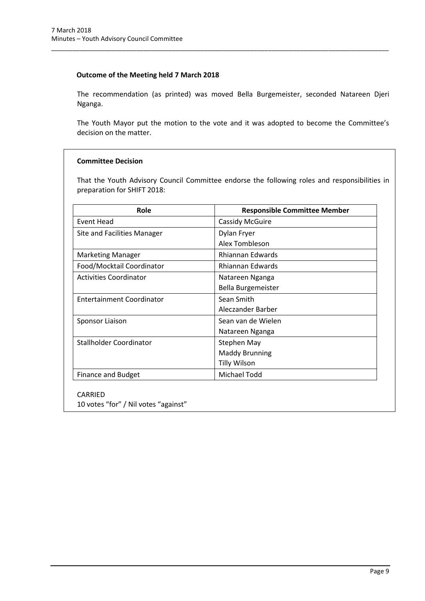## **Outcome of the Meeting held 7 March 2018**

The recommendation (as printed) was moved Bella Burgemeister, seconded Natareen Djeri Nganga.

\_\_\_\_\_\_\_\_\_\_\_\_\_\_\_\_\_\_\_\_\_\_\_\_\_\_\_\_\_\_\_\_\_\_\_\_\_\_\_\_\_\_\_\_\_\_\_\_\_\_\_\_\_\_\_\_\_\_\_\_\_\_\_\_\_\_\_\_\_\_\_\_\_\_\_\_\_\_\_\_\_\_\_\_\_\_\_\_\_\_\_\_\_\_\_

The Youth Mayor put the motion to the vote and it was adopted to become the Committee's decision on the matter.

## **Committee Decision**

That the Youth Advisory Council Committee endorse the following roles and responsibilities in preparation for SHIFT 2018:

| Role                          | <b>Responsible Committee Member</b> |
|-------------------------------|-------------------------------------|
| Event Head                    | <b>Cassidy McGuire</b>              |
| Site and Facilities Manager   | Dylan Fryer                         |
|                               | Alex Tombleson                      |
| Marketing Manager             | Rhiannan Edwards                    |
| Food/Mocktail Coordinator     | <b>Rhiannan Edwards</b>             |
| <b>Activities Coordinator</b> | Natareen Nganga                     |
|                               | Bella Burgemeister                  |
| Entertainment Coordinator     | Sean Smith                          |
|                               | Aleczander Barber                   |
| Sponsor Liaison               | Sean van de Wielen                  |
|                               | Natareen Nganga                     |
| Stallholder Coordinator       | Stephen May                         |
|                               | <b>Maddy Brunning</b>               |
|                               | <b>Tilly Wilson</b>                 |
| <b>Finance and Budget</b>     | Michael Todd                        |

CARRIED

10 votes "for" / Nil votes "against"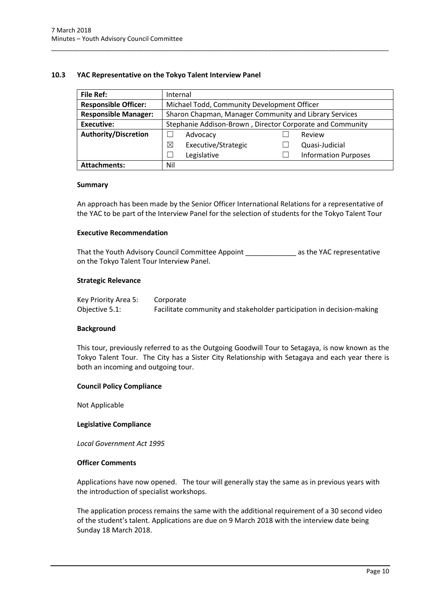## <span id="page-11-0"></span>**10.3 YAC Representative on the Tokyo Talent Interview Panel**

| <b>File Ref:</b>            | Internal                                                  |                             |  |  |
|-----------------------------|-----------------------------------------------------------|-----------------------------|--|--|
| <b>Responsible Officer:</b> | Michael Todd, Community Development Officer               |                             |  |  |
| <b>Responsible Manager:</b> | Sharon Chapman, Manager Community and Library Services    |                             |  |  |
| Executive:                  | Stephanie Addison-Brown, Director Corporate and Community |                             |  |  |
| <b>Authority/Discretion</b> | Advocacy                                                  | Review                      |  |  |
|                             | ⊠<br>Executive/Strategic                                  | Quasi-Judicial              |  |  |
|                             | Legislative                                               | <b>Information Purposes</b> |  |  |
| <b>Attachments:</b>         | Nil                                                       |                             |  |  |

\_\_\_\_\_\_\_\_\_\_\_\_\_\_\_\_\_\_\_\_\_\_\_\_\_\_\_\_\_\_\_\_\_\_\_\_\_\_\_\_\_\_\_\_\_\_\_\_\_\_\_\_\_\_\_\_\_\_\_\_\_\_\_\_\_\_\_\_\_\_\_\_\_\_\_\_\_\_\_\_\_\_\_\_\_\_\_\_\_\_\_\_\_\_\_

#### **Summary**

An approach has been made by the Senior Officer International Relations for a representative of the YAC to be part of the Interview Panel for the selection of students for the Tokyo Talent Tour

#### **Executive Recommendation**

That the Youth Advisory Council Committee Appoint That the YAC representative on the Tokyo Talent Tour Interview Panel.

#### **Strategic Relevance**

| Key Priority Area 5: | Corporate                                                             |
|----------------------|-----------------------------------------------------------------------|
| Objective 5.1:       | Facilitate community and stakeholder participation in decision-making |

#### **Background**

This tour, previously referred to as the Outgoing Goodwill Tour to Setagaya, is now known as the Tokyo Talent Tour. The City has a Sister City Relationship with Setagaya and each year there is both an incoming and outgoing tour.

#### **Council Policy Compliance**

Not Applicable

#### **Legislative Compliance**

*Local Government Act 1995*

#### **Officer Comments**

Applications have now opened. The tour will generally stay the same as in previous years with the introduction of specialist workshops.

The application process remains the same with the additional requirement of a 30 second video of the student's talent. Applications are due on 9 March 2018 with the interview date being Sunday 18 March 2018.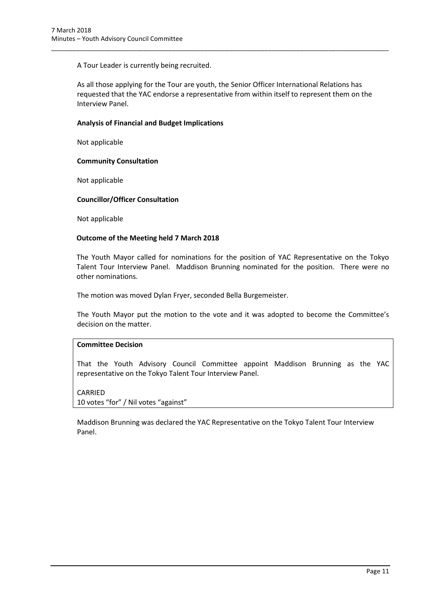A Tour Leader is currently being recruited.

As all those applying for the Tour are youth, the Senior Officer International Relations has requested that the YAC endorse a representative from within itself to represent them on the Interview Panel.

\_\_\_\_\_\_\_\_\_\_\_\_\_\_\_\_\_\_\_\_\_\_\_\_\_\_\_\_\_\_\_\_\_\_\_\_\_\_\_\_\_\_\_\_\_\_\_\_\_\_\_\_\_\_\_\_\_\_\_\_\_\_\_\_\_\_\_\_\_\_\_\_\_\_\_\_\_\_\_\_\_\_\_\_\_\_\_\_\_\_\_\_\_\_\_

## **Analysis of Financial and Budget Implications**

Not applicable

## **Community Consultation**

Not applicable

## **Councillor/Officer Consultation**

Not applicable

## **Outcome of the Meeting held 7 March 2018**

The Youth Mayor called for nominations for the position of YAC Representative on the Tokyo Talent Tour Interview Panel. Maddison Brunning nominated for the position. There were no other nominations.

The motion was moved Dylan Fryer, seconded Bella Burgemeister.

The Youth Mayor put the motion to the vote and it was adopted to become the Committee's decision on the matter.

## **Committee Decision**

That the Youth Advisory Council Committee appoint Maddison Brunning as the YAC representative on the Tokyo Talent Tour Interview Panel.

CARRIED 10 votes "for" / Nil votes "against"

Maddison Brunning was declared the YAC Representative on the Tokyo Talent Tour Interview Panel.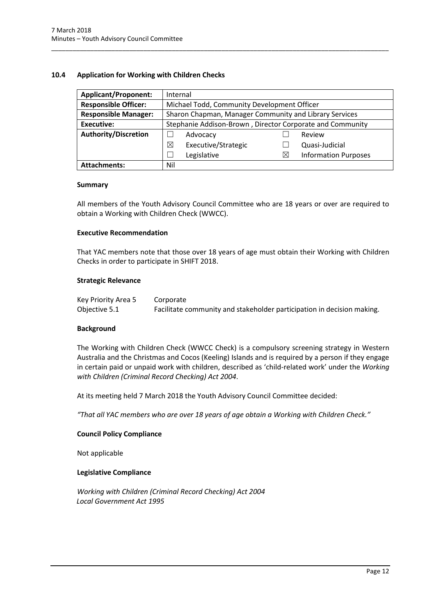## <span id="page-13-0"></span>**10.4 Application for Working with Children Checks**

| <b>Applicant/Proponent:</b> | Internal                                                  |   |                             |
|-----------------------------|-----------------------------------------------------------|---|-----------------------------|
| <b>Responsible Officer:</b> | Michael Todd, Community Development Officer               |   |                             |
| <b>Responsible Manager:</b> | Sharon Chapman, Manager Community and Library Services    |   |                             |
| Executive:                  | Stephanie Addison-Brown, Director Corporate and Community |   |                             |
| <b>Authority/Discretion</b> | Advocacy                                                  |   | Review                      |
|                             | Executive/Strategic<br>⊠                                  |   | Quasi-Judicial              |
|                             | Legislative                                               | ⊠ | <b>Information Purposes</b> |
| <b>Attachments:</b>         | Nil                                                       |   |                             |

\_\_\_\_\_\_\_\_\_\_\_\_\_\_\_\_\_\_\_\_\_\_\_\_\_\_\_\_\_\_\_\_\_\_\_\_\_\_\_\_\_\_\_\_\_\_\_\_\_\_\_\_\_\_\_\_\_\_\_\_\_\_\_\_\_\_\_\_\_\_\_\_\_\_\_\_\_\_\_\_\_\_\_\_\_\_\_\_\_\_\_\_\_\_\_

#### **Summary**

All members of the Youth Advisory Council Committee who are 18 years or over are required to obtain a Working with Children Check (WWCC).

## **Executive Recommendation**

That YAC members note that those over 18 years of age must obtain their Working with Children Checks in order to participate in SHIFT 2018.

#### **Strategic Relevance**

| Key Priority Area 5 | Corporate                                                              |
|---------------------|------------------------------------------------------------------------|
| Objective 5.1       | Facilitate community and stakeholder participation in decision making. |

## **Background**

The Working with Children Check (WWCC Check) is a compulsory screening strategy in Western Australia and the Christmas and Cocos (Keeling) Islands and is required by a person if they engage in certain paid or unpaid work with children, described as 'child-related work' under the *Working with Children (Criminal Record Checking) Act 2004*.

At its meeting held 7 March 2018 the Youth Advisory Council Committee decided:

*"That all YAC members who are over 18 years of age obtain a Working with Children Check."*

## **Council Policy Compliance**

Not applicable

#### **Legislative Compliance**

*Working with Children (Criminal Record Checking) Act 2004 Local Government Act 1995*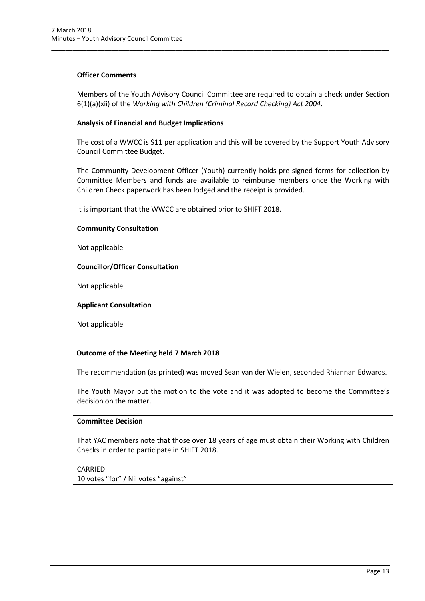## **Officer Comments**

Members of the Youth Advisory Council Committee are required to obtain a check under Section 6(1)(a)(xii) of the *Working with Children (Criminal Record Checking) Act 2004*.

\_\_\_\_\_\_\_\_\_\_\_\_\_\_\_\_\_\_\_\_\_\_\_\_\_\_\_\_\_\_\_\_\_\_\_\_\_\_\_\_\_\_\_\_\_\_\_\_\_\_\_\_\_\_\_\_\_\_\_\_\_\_\_\_\_\_\_\_\_\_\_\_\_\_\_\_\_\_\_\_\_\_\_\_\_\_\_\_\_\_\_\_\_\_\_

## **Analysis of Financial and Budget Implications**

The cost of a WWCC is \$11 per application and this will be covered by the Support Youth Advisory Council Committee Budget.

The Community Development Officer (Youth) currently holds pre-signed forms for collection by Committee Members and funds are available to reimburse members once the Working with Children Check paperwork has been lodged and the receipt is provided.

It is important that the WWCC are obtained prior to SHIFT 2018.

## **Community Consultation**

Not applicable

## **Councillor/Officer Consultation**

Not applicable

## **Applicant Consultation**

Not applicable

## **Outcome of the Meeting held 7 March 2018**

The recommendation (as printed) was moved Sean van der Wielen, seconded Rhiannan Edwards.

The Youth Mayor put the motion to the vote and it was adopted to become the Committee's decision on the matter.

## **Committee Decision**

That YAC members note that those over 18 years of age must obtain their Working with Children Checks in order to participate in SHIFT 2018.

## CARRIED

10 votes "for" / Nil votes "against"